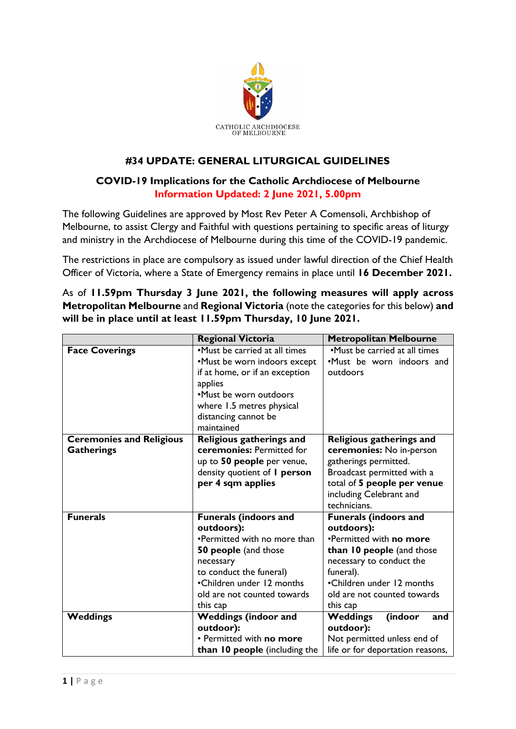

## **#34 UPDATE: GENERAL LITURGICAL GUIDELINES**

## **COVID-19 Implications for the Catholic Archdiocese of Melbourne Information Updated: 2 June 2021, 5.00pm**

The following Guidelines are approved by Most Rev Peter A Comensoli, Archbishop of Melbourne, to assist Clergy and Faithful with questions pertaining to specific areas of liturgy and ministry in the Archdiocese of Melbourne during this time of the COVID-19 pandemic.

The restrictions in place are compulsory as issued under lawful direction of the Chief Health Officer of Victoria, where a State of Emergency remains in place until **16 December 2021.**

As of **11.59pm Thursday 3 June 2021, the following measures will apply across Metropolitan Melbourne** and **Regional Victoria** (note the categories for this below) **and will be in place until at least 11.59pm Thursday, 10 June 2021.**

|                                 | <b>Regional Victoria</b>            | <b>Metropolitan Melbourne</b>     |
|---------------------------------|-------------------------------------|-----------------------------------|
| <b>Face Coverings</b>           | •Must be carried at all times       | •Must be carried at all times     |
|                                 | •Must be worn indoors except        | .Must be worn indoors and         |
|                                 | if at home, or if an exception      | outdoors                          |
|                                 | applies                             |                                   |
|                                 | •Must be worn outdoors              |                                   |
|                                 | where 1.5 metres physical           |                                   |
|                                 | distancing cannot be                |                                   |
|                                 | maintained                          |                                   |
| <b>Ceremonies and Religious</b> | Religious gatherings and            | Religious gatherings and          |
| <b>Gatherings</b>               | ceremonies: Permitted for           | ceremonies: No in-person          |
|                                 | up to 50 people per venue,          | gatherings permitted.             |
|                                 | density quotient of <i>I</i> person | Broadcast permitted with a        |
|                                 | per 4 sqm applies                   | total of 5 people per venue       |
|                                 |                                     | including Celebrant and           |
|                                 |                                     | technicians.                      |
| <b>Funerals</b>                 | <b>Funerals (indoors and</b>        | <b>Funerals (indoors and</b>      |
|                                 | outdoors):                          | outdoors):                        |
|                                 | •Permitted with no more than        | •Permitted with no more           |
|                                 | 50 people (and those                | than 10 people (and those         |
|                                 | necessary                           | necessary to conduct the          |
|                                 | to conduct the funeral)             | funeral).                         |
|                                 | •Children under 12 months           | •Children under 12 months         |
|                                 | old are not counted towards         | old are not counted towards       |
|                                 | this cap                            | this cap                          |
| <b>Weddings</b>                 | <b>Weddings (indoor and</b>         | (indoor<br><b>Weddings</b><br>and |
|                                 | outdoor):                           | outdoor):                         |
|                                 | • Permitted with no more            | Not permitted unless end of       |
|                                 | than 10 people (including the       | life or for deportation reasons,  |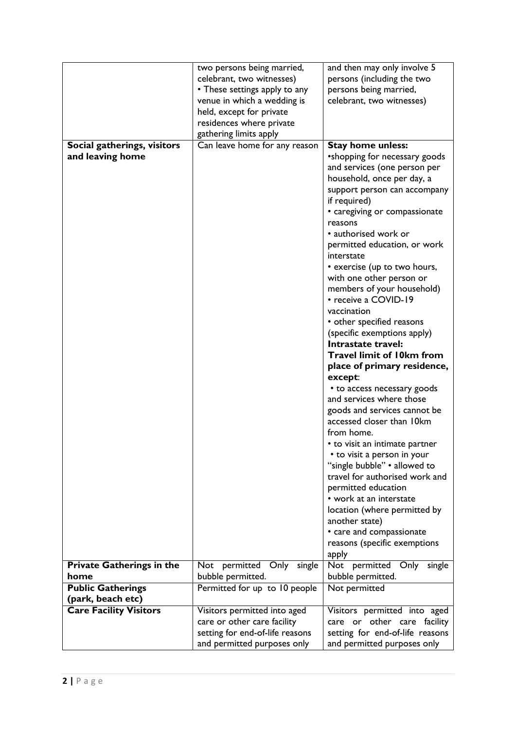|                                  | two persons being married,      | and then may only involve 5                                 |
|----------------------------------|---------------------------------|-------------------------------------------------------------|
|                                  | celebrant, two witnesses)       | persons (including the two                                  |
|                                  | • These settings apply to any   | persons being married,                                      |
|                                  | venue in which a wedding is     | celebrant, two witnesses)                                   |
|                                  | held, except for private        |                                                             |
|                                  | residences where private        |                                                             |
|                                  | gathering limits apply          |                                                             |
| Social gatherings, visitors      | Can leave home for any reason   | <b>Stay home unless:</b>                                    |
| and leaving home                 |                                 | •shopping for necessary goods                               |
|                                  |                                 | and services (one person per                                |
|                                  |                                 | household, once per day, a                                  |
|                                  |                                 | support person can accompany                                |
|                                  |                                 | if required)                                                |
|                                  |                                 | • caregiving or compassionate                               |
|                                  |                                 | reasons                                                     |
|                                  |                                 | • authorised work or                                        |
|                                  |                                 | permitted education, or work                                |
|                                  |                                 | interstate                                                  |
|                                  |                                 | • exercise (up to two hours,                                |
|                                  |                                 | with one other person or                                    |
|                                  |                                 | members of your household)<br>• receive a COVID-19          |
|                                  |                                 | vaccination                                                 |
|                                  |                                 | • other specified reasons                                   |
|                                  |                                 | (specific exemptions apply)                                 |
|                                  |                                 | Intrastate travel:                                          |
|                                  |                                 | <b>Travel limit of 10km from</b>                            |
|                                  |                                 | place of primary residence,                                 |
|                                  |                                 | except:                                                     |
|                                  |                                 | • to access necessary goods                                 |
|                                  |                                 | and services where those                                    |
|                                  |                                 | goods and services cannot be                                |
|                                  |                                 | accessed closer than 10km                                   |
|                                  |                                 | from home.                                                  |
|                                  |                                 |                                                             |
|                                  |                                 | • to visit an intimate partner                              |
|                                  |                                 | • to visit a person in your<br>"single bubble" . allowed to |
|                                  |                                 | travel for authorised work and                              |
|                                  |                                 |                                                             |
|                                  |                                 | permitted education<br>• work at an interstate              |
|                                  |                                 |                                                             |
|                                  |                                 | location (where permitted by<br>another state)              |
|                                  |                                 | • care and compassionate                                    |
|                                  |                                 | reasons (specific exemptions                                |
|                                  |                                 | apply                                                       |
| <b>Private Gatherings in the</b> | Only<br>Not permitted<br>single | Not permitted Only<br>single                                |
| home                             | bubble permitted.               | bubble permitted.                                           |
| <b>Public Gatherings</b>         | Permitted for up to 10 people   | Not permitted                                               |
| (park, beach etc)                |                                 |                                                             |
| <b>Care Facility Visitors</b>    | Visitors permitted into aged    | Visitors permitted into aged                                |
|                                  | care or other care facility     | care or other care facility                                 |
|                                  | setting for end-of-life reasons | setting for end-of-life reasons                             |
|                                  | and permitted purposes only     | and permitted purposes only                                 |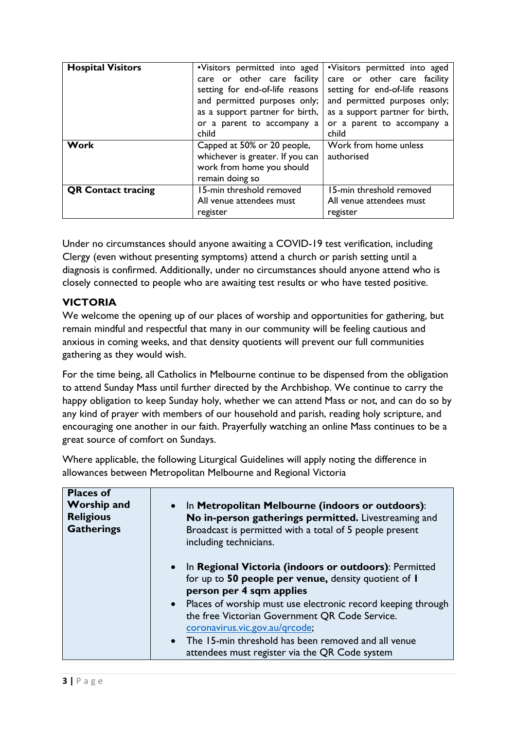| <b>Hospital Visitors</b>  | •Visitors permitted into aged                                   | .Visitors permitted into aged                                   |
|---------------------------|-----------------------------------------------------------------|-----------------------------------------------------------------|
|                           | care or other care facility                                     | care or other care facility                                     |
|                           | setting for end-of-life reasons<br>and permitted purposes only; | setting for end-of-life reasons<br>and permitted purposes only; |
|                           | as a support partner for birth,                                 | as a support partner for birth,                                 |
|                           | or a parent to accompany a                                      | or a parent to accompany a                                      |
|                           | child                                                           | child                                                           |
| Work                      | Capped at 50% or 20 people,                                     | Work from home unless                                           |
|                           | whichever is greater. If you can                                | authorised                                                      |
|                           | work from home you should                                       |                                                                 |
|                           | remain doing so                                                 |                                                                 |
| <b>QR Contact tracing</b> | 15-min threshold removed                                        | 15-min threshold removed                                        |
|                           | All venue attendees must                                        | All venue attendees must                                        |
|                           | register                                                        | register                                                        |

Under no circumstances should anyone awaiting a COVID-19 test verification, including Clergy (even without presenting symptoms) attend a church or parish setting until a diagnosis is confirmed. Additionally, under no circumstances should anyone attend who is closely connected to people who are awaiting test results or who have tested positive.

## **VICTORIA**

We welcome the opening up of our places of worship and opportunities for gathering, but remain mindful and respectful that many in our community will be feeling cautious and anxious in coming weeks, and that density quotients will prevent our full communities gathering as they would wish.

For the time being, all Catholics in Melbourne continue to be dispensed from the obligation to attend Sunday Mass until further directed by the Archbishop. We continue to carry the happy obligation to keep Sunday holy, whether we can attend Mass or not, and can do so by any kind of prayer with members of our household and parish, reading holy scripture, and encouraging one another in our faith. Prayerfully watching an online Mass continues to be a great source of comfort on Sundays.

Where applicable, the following Liturgical Guidelines will apply noting the difference in allowances between Metropolitan Melbourne and Regional Victoria

| <b>Places of</b><br><b>Worship and</b><br><b>Religious</b><br><b>Gatherings</b> | • In Metropolitan Melbourne (indoors or outdoors):<br>No in-person gatherings permitted. Livestreaming and<br>Broadcast is permitted with a total of 5 people present<br>including technicians. |
|---------------------------------------------------------------------------------|-------------------------------------------------------------------------------------------------------------------------------------------------------------------------------------------------|
|                                                                                 | • In Regional Victoria (indoors or outdoors): Permitted<br>for up to 50 people per venue, density quotient of I<br>person per 4 sqm applies                                                     |
|                                                                                 | • Places of worship must use electronic record keeping through<br>the free Victorian Government QR Code Service.<br>coronavirus.vic.gov.au/grcode;                                              |
|                                                                                 | • The 15-min threshold has been removed and all venue<br>attendees must register via the QR Code system                                                                                         |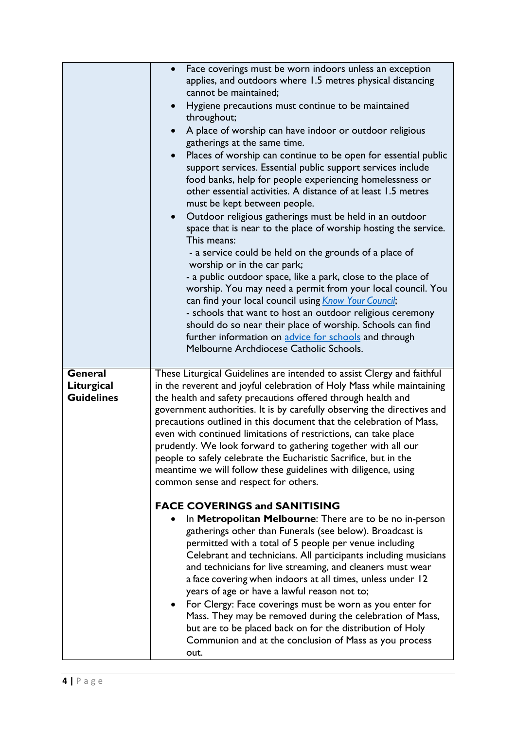|                                                   | Face coverings must be worn indoors unless an exception<br>applies, and outdoors where 1.5 metres physical distancing<br>cannot be maintained;<br>Hygiene precautions must continue to be maintained<br>throughout;<br>A place of worship can have indoor or outdoor religious<br>gatherings at the same time.<br>Places of worship can continue to be open for essential public<br>support services. Essential public support services include<br>food banks, help for people experiencing homelessness or<br>other essential activities. A distance of at least 1.5 metres<br>must be kept between people.<br>Outdoor religious gatherings must be held in an outdoor<br>$\bullet$<br>space that is near to the place of worship hosting the service.<br>This means:<br>- a service could be held on the grounds of a place of<br>worship or in the car park;<br>- a public outdoor space, like a park, close to the place of<br>worship. You may need a permit from your local council. You<br>can find your local council using <i>Know Your Council</i> ;<br>- schools that want to host an outdoor religious ceremony<br>should do so near their place of worship. Schools can find<br>further information on advice for schools and through<br>Melbourne Archdiocese Catholic Schools.                                                                                                                       |
|---------------------------------------------------|---------------------------------------------------------------------------------------------------------------------------------------------------------------------------------------------------------------------------------------------------------------------------------------------------------------------------------------------------------------------------------------------------------------------------------------------------------------------------------------------------------------------------------------------------------------------------------------------------------------------------------------------------------------------------------------------------------------------------------------------------------------------------------------------------------------------------------------------------------------------------------------------------------------------------------------------------------------------------------------------------------------------------------------------------------------------------------------------------------------------------------------------------------------------------------------------------------------------------------------------------------------------------------------------------------------------------------------------------------------------------------------------------------------------|
| <b>General</b><br>Liturgical<br><b>Guidelines</b> | These Liturgical Guidelines are intended to assist Clergy and faithful<br>in the reverent and joyful celebration of Holy Mass while maintaining<br>the health and safety precautions offered through health and<br>government authorities. It is by carefully observing the directives and<br>precautions outlined in this document that the celebration of Mass,<br>even with continued limitations of restrictions, can take place<br>prudently. We look forward to gathering together with all our<br>people to safely celebrate the Eucharistic Sacrifice, but in the<br>meantime we will follow these guidelines with diligence, using<br>common sense and respect for others.<br><b>FACE COVERINGS and SANITISING</b><br>In Metropolitan Melbourne: There are to be no in-person<br>gatherings other than Funerals (see below). Broadcast is<br>permitted with a total of 5 people per venue including<br>Celebrant and technicians. All participants including musicians<br>and technicians for live streaming, and cleaners must wear<br>a face covering when indoors at all times, unless under 12<br>years of age or have a lawful reason not to;<br>For Clergy: Face coverings must be worn as you enter for<br>Mass. They may be removed during the celebration of Mass,<br>but are to be placed back on for the distribution of Holy<br>Communion and at the conclusion of Mass as you process<br>out. |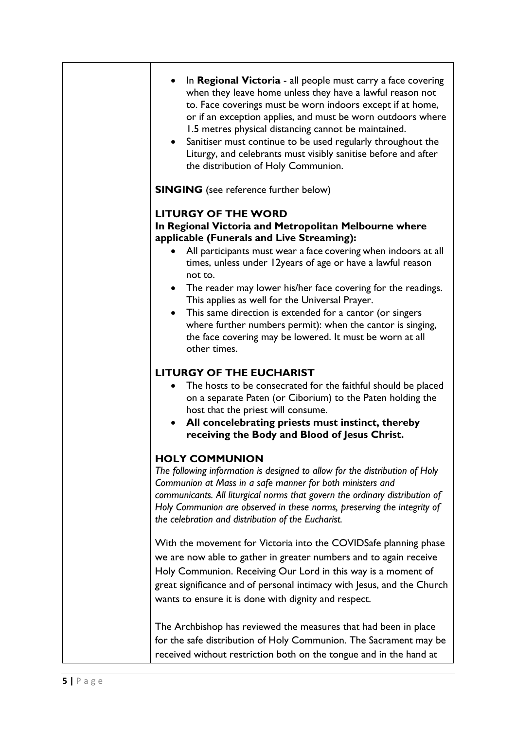| • In Regional Victoria - all people must carry a face covering<br>when they leave home unless they have a lawful reason not<br>to. Face coverings must be worn indoors except if at home,<br>or if an exception applies, and must be worn outdoors where<br>1.5 metres physical distancing cannot be maintained.<br>• Sanitiser must continue to be used regularly throughout the<br>Liturgy, and celebrants must visibly sanitise before and after<br>the distribution of Holy Communion.                                                                                                              |
|---------------------------------------------------------------------------------------------------------------------------------------------------------------------------------------------------------------------------------------------------------------------------------------------------------------------------------------------------------------------------------------------------------------------------------------------------------------------------------------------------------------------------------------------------------------------------------------------------------|
| <b>SINGING</b> (see reference further below)                                                                                                                                                                                                                                                                                                                                                                                                                                                                                                                                                            |
| <b>LITURGY OF THE WORD</b><br>In Regional Victoria and Metropolitan Melbourne where<br>applicable (Funerals and Live Streaming):<br>All participants must wear a face covering when indoors at all<br>times, unless under 12years of age or have a lawful reason<br>not to.<br>• The reader may lower his/her face covering for the readings.<br>This applies as well for the Universal Prayer.<br>• This same direction is extended for a cantor (or singers<br>where further numbers permit): when the cantor is singing,<br>the face covering may be lowered. It must be worn at all<br>other times. |
| <b>LITURGY OF THE EUCHARIST</b><br>The hosts to be consecrated for the faithful should be placed<br>on a separate Paten (or Ciborium) to the Paten holding the<br>host that the priest will consume.<br>All concelebrating priests must instinct, thereby<br>$\bullet$<br>receiving the Body and Blood of Jesus Christ.                                                                                                                                                                                                                                                                                 |
| <b>HOLY COMMUNION</b><br>The following information is designed to allow for the distribution of Holy<br>Communion at Mass in a safe manner for both ministers and<br>communicants. All liturgical norms that govern the ordinary distribution of<br>Holy Communion are observed in these norms, preserving the integrity of<br>the celebration and distribution of the Eucharist.                                                                                                                                                                                                                       |
| With the movement for Victoria into the COVIDSafe planning phase<br>we are now able to gather in greater numbers and to again receive<br>Holy Communion. Receiving Our Lord in this way is a moment of<br>great significance and of personal intimacy with Jesus, and the Church<br>wants to ensure it is done with dignity and respect.                                                                                                                                                                                                                                                                |
| The Archbishop has reviewed the measures that had been in place<br>for the safe distribution of Holy Communion. The Sacrament may be<br>received without restriction both on the tongue and in the hand at                                                                                                                                                                                                                                                                                                                                                                                              |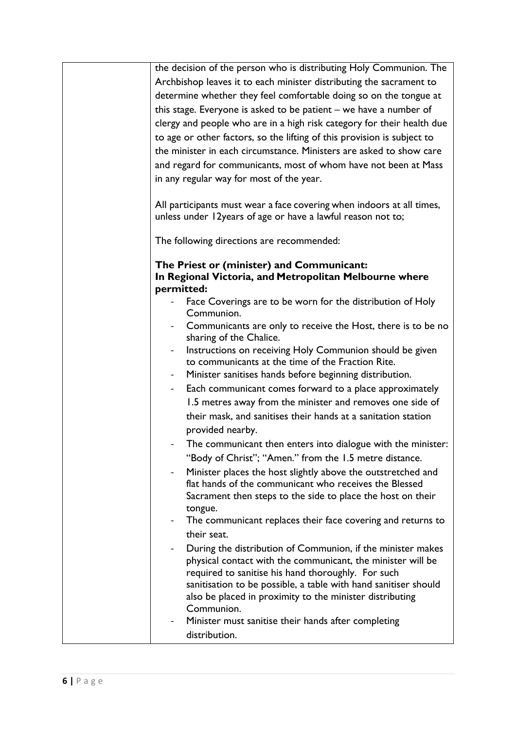|                          | the decision of the person who is distributing Holy Communion. The      |
|--------------------------|-------------------------------------------------------------------------|
|                          | Archbishop leaves it to each minister distributing the sacrament to     |
|                          | determine whether they feel comfortable doing so on the tongue at       |
|                          | this stage. Everyone is asked to be patient - we have a number of       |
|                          | clergy and people who are in a high risk category for their health due  |
|                          | to age or other factors, so the lifting of this provision is subject to |
|                          | the minister in each circumstance. Ministers are asked to show care     |
|                          | and regard for communicants, most of whom have not been at Mass         |
|                          | in any regular way for most of the year.                                |
|                          |                                                                         |
|                          | All participants must wear a face covering when indoors at all times,   |
|                          | unless under 12years of age or have a lawful reason not to;             |
|                          | The following directions are recommended:                               |
|                          | The Priest or (minister) and Communicant:                               |
|                          | In Regional Victoria, and Metropolitan Melbourne where                  |
|                          | permitted:                                                              |
|                          | Face Coverings are to be worn for the distribution of Holy              |
|                          | Communion.                                                              |
|                          | Communicants are only to receive the Host, there is to be no            |
|                          | sharing of the Chalice.                                                 |
|                          | Instructions on receiving Holy Communion should be given                |
|                          | to communicants at the time of the Fraction Rite.                       |
|                          | Minister sanitises hands before beginning distribution.                 |
| $\blacksquare$           | Each communicant comes forward to a place approximately                 |
|                          | 1.5 metres away from the minister and removes one side of               |
|                          | their mask, and sanitises their hands at a sanitation station           |
|                          | provided nearby.                                                        |
|                          | The communicant then enters into dialogue with the minister:            |
|                          | "Body of Christ"; "Amen." from the 1.5 metre distance.                  |
| $\overline{\phantom{0}}$ | Minister places the host slightly above the outstretched and            |
|                          | flat hands of the communicant who receives the Blessed                  |
|                          | Sacrament then steps to the side to place the host on their             |
|                          | tongue.                                                                 |
|                          | The communicant replaces their face covering and returns to             |
|                          | their seat.                                                             |
| -                        | During the distribution of Communion, if the minister makes             |
|                          | physical contact with the communicant, the minister will be             |
|                          | required to sanitise his hand thoroughly. For such                      |
|                          | sanitisation to be possible, a table with hand sanitiser should         |
|                          | also be placed in proximity to the minister distributing                |
|                          | Communion.                                                              |
|                          | Minister must sanitise their hands after completing                     |
|                          | distribution.                                                           |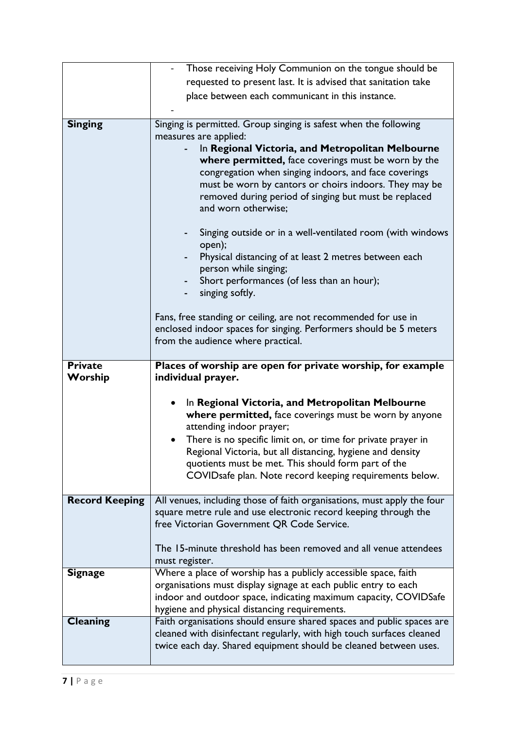|                       | Those receiving Holy Communion on the tongue should be                                                                                     |
|-----------------------|--------------------------------------------------------------------------------------------------------------------------------------------|
|                       | requested to present last. It is advised that sanitation take                                                                              |
|                       | place between each communicant in this instance.                                                                                           |
|                       |                                                                                                                                            |
| <b>Singing</b>        | Singing is permitted. Group singing is safest when the following                                                                           |
|                       | measures are applied:                                                                                                                      |
|                       | In Regional Victoria, and Metropolitan Melbourne                                                                                           |
|                       | where permitted, face coverings must be worn by the                                                                                        |
|                       | congregation when singing indoors, and face coverings                                                                                      |
|                       | must be worn by cantors or choirs indoors. They may be<br>removed during period of singing but must be replaced                            |
|                       | and worn otherwise;                                                                                                                        |
|                       |                                                                                                                                            |
|                       | Singing outside or in a well-ventilated room (with windows<br>open);                                                                       |
|                       | Physical distancing of at least 2 metres between each                                                                                      |
|                       | person while singing;                                                                                                                      |
|                       | Short performances (of less than an hour);                                                                                                 |
|                       | singing softly.                                                                                                                            |
|                       | Fans, free standing or ceiling, are not recommended for use in                                                                             |
|                       | enclosed indoor spaces for singing. Performers should be 5 meters                                                                          |
|                       | from the audience where practical.                                                                                                         |
|                       |                                                                                                                                            |
|                       |                                                                                                                                            |
| <b>Private</b>        | Places of worship are open for private worship, for example                                                                                |
| Worship               | individual prayer.                                                                                                                         |
|                       |                                                                                                                                            |
|                       | In Regional Victoria, and Metropolitan Melbourne<br>$\bullet$                                                                              |
|                       | where permitted, face coverings must be worn by anyone<br>attending indoor prayer;                                                         |
|                       | There is no specific limit on, or time for private prayer in                                                                               |
|                       | Regional Victoria, but all distancing, hygiene and density                                                                                 |
|                       | quotients must be met. This should form part of the                                                                                        |
|                       | COVIDsafe plan. Note record keeping requirements below.                                                                                    |
|                       |                                                                                                                                            |
| <b>Record Keeping</b> | All venues, including those of faith organisations, must apply the four<br>square metre rule and use electronic record keeping through the |
|                       | free Victorian Government QR Code Service.                                                                                                 |
|                       |                                                                                                                                            |
|                       | The 15-minute threshold has been removed and all venue attendees                                                                           |
|                       | must register.                                                                                                                             |
| <b>Signage</b>        | Where a place of worship has a publicly accessible space, faith                                                                            |
|                       | organisations must display signage at each public entry to each<br>indoor and outdoor space, indicating maximum capacity, COVIDSafe        |
|                       | hygiene and physical distancing requirements.                                                                                              |
| Cleaning              | Faith organisations should ensure shared spaces and public spaces are                                                                      |
|                       | cleaned with disinfectant regularly, with high touch surfaces cleaned                                                                      |
|                       | twice each day. Shared equipment should be cleaned between uses.                                                                           |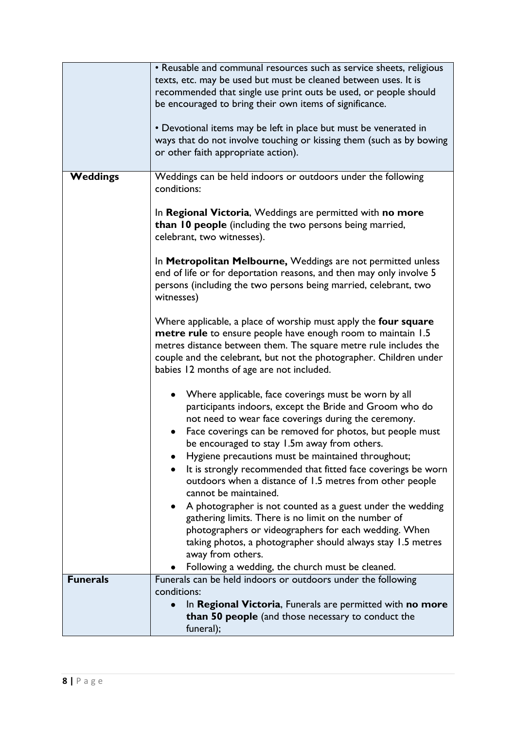|                 | • Reusable and communal resources such as service sheets, religious<br>texts, etc. may be used but must be cleaned between uses. It is<br>recommended that single use print outs be used, or people should<br>be encouraged to bring their own items of significance.<br>• Devotional items may be left in place but must be venerated in<br>ways that do not involve touching or kissing them (such as by bowing<br>or other faith appropriate action).                                                      |
|-----------------|---------------------------------------------------------------------------------------------------------------------------------------------------------------------------------------------------------------------------------------------------------------------------------------------------------------------------------------------------------------------------------------------------------------------------------------------------------------------------------------------------------------|
| <b>Weddings</b> | Weddings can be held indoors or outdoors under the following<br>conditions:                                                                                                                                                                                                                                                                                                                                                                                                                                   |
|                 | In Regional Victoria, Weddings are permitted with no more<br>than 10 people (including the two persons being married,<br>celebrant, two witnesses).<br>In Metropolitan Melbourne, Weddings are not permitted unless<br>end of life or for deportation reasons, and then may only involve 5<br>persons (including the two persons being married, celebrant, two                                                                                                                                                |
|                 | witnesses)                                                                                                                                                                                                                                                                                                                                                                                                                                                                                                    |
|                 | Where applicable, a place of worship must apply the four square<br>metre rule to ensure people have enough room to maintain 1.5<br>metres distance between them. The square metre rule includes the<br>couple and the celebrant, but not the photographer. Children under<br>babies 12 months of age are not included.                                                                                                                                                                                        |
|                 | Where applicable, face coverings must be worn by all<br>participants indoors, except the Bride and Groom who do<br>not need to wear face coverings during the ceremony.<br>Face coverings can be removed for photos, but people must<br>$\bullet$<br>be encouraged to stay 1.5m away from others.<br>Hygiene precautions must be maintained throughout;<br>It is strongly recommended that fitted face coverings be worn<br>outdoors when a distance of 1.5 metres from other people<br>cannot be maintained. |
|                 | A photographer is not counted as a guest under the wedding<br>gathering limits. There is no limit on the number of<br>photographers or videographers for each wedding. When<br>taking photos, a photographer should always stay 1.5 metres<br>away from others.<br>Following a wedding, the church must be cleaned.                                                                                                                                                                                           |
| <b>Funerals</b> | Funerals can be held indoors or outdoors under the following                                                                                                                                                                                                                                                                                                                                                                                                                                                  |
|                 | conditions:<br>In Regional Victoria, Funerals are permitted with no more<br>than 50 people (and those necessary to conduct the<br>funeral);                                                                                                                                                                                                                                                                                                                                                                   |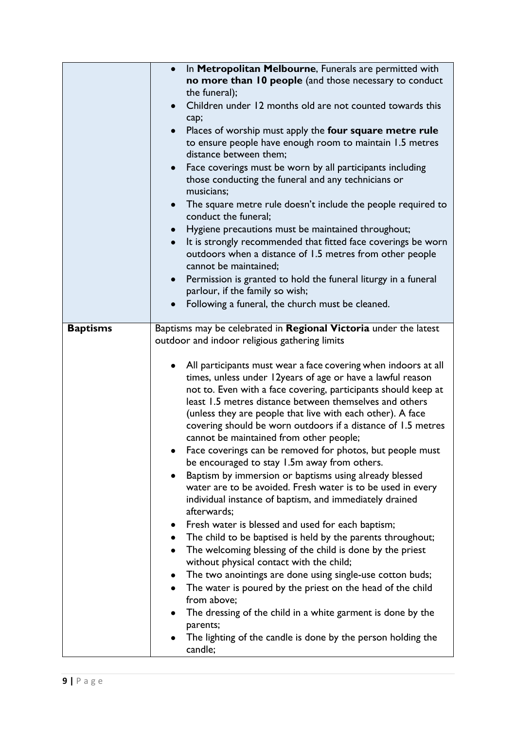|                 | In Metropolitan Melbourne, Funerals are permitted with                     |
|-----------------|----------------------------------------------------------------------------|
|                 | no more than 10 people (and those necessary to conduct                     |
|                 | the funeral);                                                              |
|                 | Children under 12 months old are not counted towards this<br>$\bullet$     |
|                 | cap;                                                                       |
|                 | Places of worship must apply the four square metre rule<br>$\bullet$       |
|                 | to ensure people have enough room to maintain 1.5 metres                   |
|                 | distance between them;                                                     |
|                 | Face coverings must be worn by all participants including<br>$\bullet$     |
|                 | those conducting the funeral and any technicians or                        |
|                 | musicians;                                                                 |
|                 | The square metre rule doesn't include the people required to<br>$\bullet$  |
|                 | conduct the funeral;                                                       |
|                 | Hygiene precautions must be maintained throughout;<br>$\bullet$            |
|                 | It is strongly recommended that fitted face coverings be worn<br>$\bullet$ |
|                 | outdoors when a distance of 1.5 metres from other people                   |
|                 | cannot be maintained;                                                      |
|                 | Permission is granted to hold the funeral liturgy in a funeral             |
|                 | parlour, if the family so wish;                                            |
|                 | Following a funeral, the church must be cleaned.                           |
|                 |                                                                            |
| <b>Baptisms</b> | Baptisms may be celebrated in Regional Victoria under the latest           |
|                 | outdoor and indoor religious gathering limits                              |
|                 |                                                                            |
|                 | All participants must wear a face covering when indoors at all             |
|                 | times, unless under 12years of age or have a lawful reason                 |
|                 | not to. Even with a face covering, participants should keep at             |
|                 | least 1.5 metres distance between themselves and others                    |
|                 | (unless they are people that live with each other). A face                 |
|                 | covering should be worn outdoors if a distance of 1.5 metres               |
|                 | cannot be maintained from other people;                                    |
|                 | Face coverings can be removed for photos, but people must                  |
|                 | be encouraged to stay 1.5m away from others.                               |
|                 | Baptism by immersion or baptisms using already blessed                     |
|                 | water are to be avoided. Fresh water is to be used in every                |
|                 | individual instance of baptism, and immediately drained                    |
|                 | afterwards;                                                                |
|                 | Fresh water is blessed and used for each baptism;                          |
|                 | The child to be baptised is held by the parents throughout;                |
|                 | The welcoming blessing of the child is done by the priest                  |
|                 | without physical contact with the child;                                   |
|                 | The two anointings are done using single-use cotton buds;                  |
|                 | The water is poured by the priest on the head of the child                 |
|                 | from above;                                                                |
|                 | The dressing of the child in a white garment is done by the                |
|                 | parents;                                                                   |
|                 | The lighting of the candle is done by the person holding the               |
|                 | candle;                                                                    |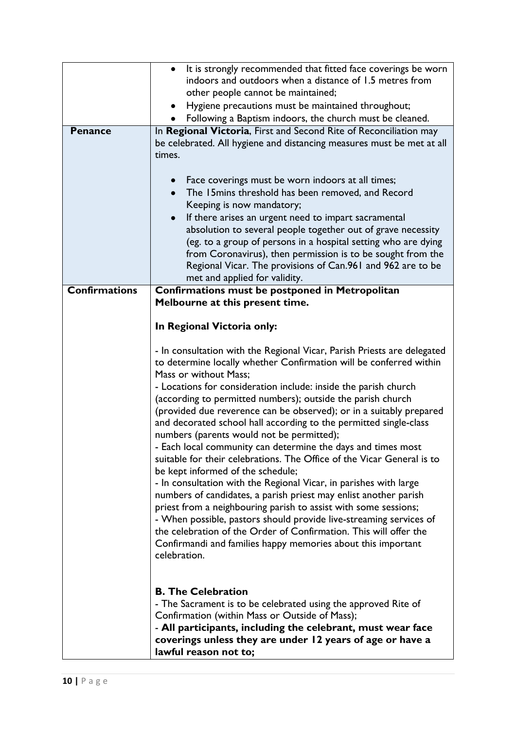| <b>Penance</b>       | It is strongly recommended that fitted face coverings be worn<br>$\bullet$<br>indoors and outdoors when a distance of 1.5 metres from<br>other people cannot be maintained;<br>Hygiene precautions must be maintained throughout;<br>$\bullet$<br>Following a Baptism indoors, the church must be cleaned.<br>In Regional Victoria, First and Second Rite of Reconciliation may<br>be celebrated. All hygiene and distancing measures must be met at all<br>times.<br>Face coverings must be worn indoors at all times;<br>$\bullet$                                                                                                                                                                                                                                                                                                                                                                                                                                                                                                                                                                                    |
|----------------------|-------------------------------------------------------------------------------------------------------------------------------------------------------------------------------------------------------------------------------------------------------------------------------------------------------------------------------------------------------------------------------------------------------------------------------------------------------------------------------------------------------------------------------------------------------------------------------------------------------------------------------------------------------------------------------------------------------------------------------------------------------------------------------------------------------------------------------------------------------------------------------------------------------------------------------------------------------------------------------------------------------------------------------------------------------------------------------------------------------------------------|
|                      | The 15 mins threshold has been removed, and Record<br>$\bullet$<br>Keeping is now mandatory;<br>If there arises an urgent need to impart sacramental                                                                                                                                                                                                                                                                                                                                                                                                                                                                                                                                                                                                                                                                                                                                                                                                                                                                                                                                                                    |
|                      | absolution to several people together out of grave necessity<br>(eg. to a group of persons in a hospital setting who are dying<br>from Coronavirus), then permission is to be sought from the<br>Regional Vicar. The provisions of Can.961 and 962 are to be<br>met and applied for validity.                                                                                                                                                                                                                                                                                                                                                                                                                                                                                                                                                                                                                                                                                                                                                                                                                           |
| <b>Confirmations</b> | Confirmations must be postponed in Metropolitan<br>Melbourne at this present time.                                                                                                                                                                                                                                                                                                                                                                                                                                                                                                                                                                                                                                                                                                                                                                                                                                                                                                                                                                                                                                      |
|                      | In Regional Victoria only:                                                                                                                                                                                                                                                                                                                                                                                                                                                                                                                                                                                                                                                                                                                                                                                                                                                                                                                                                                                                                                                                                              |
|                      | - In consultation with the Regional Vicar, Parish Priests are delegated<br>to determine locally whether Confirmation will be conferred within<br>Mass or without Mass;<br>- Locations for consideration include: inside the parish church<br>(according to permitted numbers); outside the parish church<br>(provided due reverence can be observed); or in a suitably prepared<br>and decorated school hall according to the permitted single-class<br>numbers (parents would not be permitted);<br>- Each local community can determine the days and times most<br>suitable for their celebrations. The Office of the Vicar General is to<br>be kept informed of the schedule;<br>- In consultation with the Regional Vicar, in parishes with large<br>numbers of candidates, a parish priest may enlist another parish<br>priest from a neighbouring parish to assist with some sessions;<br>- When possible, pastors should provide live-streaming services of<br>the celebration of the Order of Confirmation. This will offer the<br>Confirmandi and families happy memories about this important<br>celebration. |
|                      | <b>B. The Celebration</b><br>- The Sacrament is to be celebrated using the approved Rite of<br>Confirmation (within Mass or Outside of Mass);<br>- All participants, including the celebrant, must wear face<br>coverings unless they are under 12 years of age or have a<br>lawful reason not to;                                                                                                                                                                                                                                                                                                                                                                                                                                                                                                                                                                                                                                                                                                                                                                                                                      |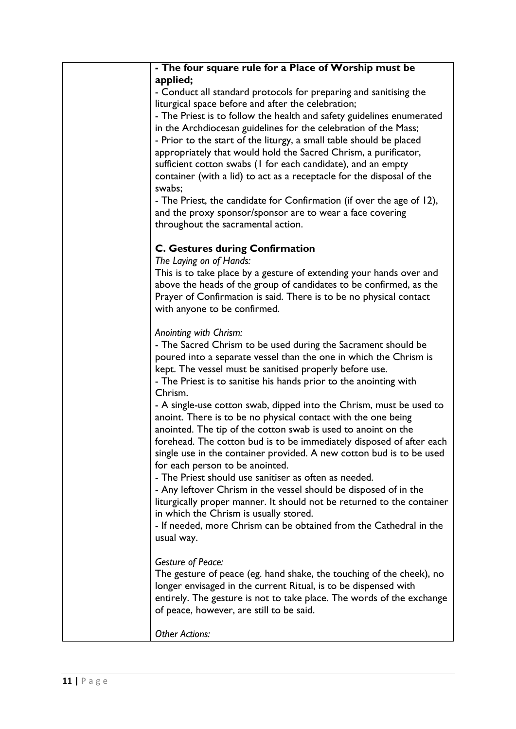| - The four square rule for a Place of Worship must be                                                                                 |
|---------------------------------------------------------------------------------------------------------------------------------------|
| applied;                                                                                                                              |
| - Conduct all standard protocols for preparing and sanitising the                                                                     |
| liturgical space before and after the celebration;                                                                                    |
| - The Priest is to follow the health and safety guidelines enumerated                                                                 |
| in the Archdiocesan guidelines for the celebration of the Mass;                                                                       |
| - Prior to the start of the liturgy, a small table should be placed                                                                   |
| appropriately that would hold the Sacred Chrism, a purificator,                                                                       |
| sufficient cotton swabs (I for each candidate), and an empty                                                                          |
| container (with a lid) to act as a receptacle for the disposal of the                                                                 |
| swabs;                                                                                                                                |
| - The Priest, the candidate for Confirmation (if over the age of 12),                                                                 |
| and the proxy sponsor/sponsor are to wear a face covering                                                                             |
| throughout the sacramental action.                                                                                                    |
| <b>C. Gestures during Confirmation</b>                                                                                                |
| The Laying on of Hands:                                                                                                               |
| This is to take place by a gesture of extending your hands over and                                                                   |
| above the heads of the group of candidates to be confirmed, as the                                                                    |
| Prayer of Confirmation is said. There is to be no physical contact                                                                    |
| with anyone to be confirmed.                                                                                                          |
|                                                                                                                                       |
| Anointing with Chrism:                                                                                                                |
| - The Sacred Chrism to be used during the Sacrament should be                                                                         |
| poured into a separate vessel than the one in which the Chrism is                                                                     |
| kept. The vessel must be sanitised properly before use.                                                                               |
| - The Priest is to sanitise his hands prior to the anointing with                                                                     |
| Chrism.                                                                                                                               |
| - A single-use cotton swab, dipped into the Chrism, must be used to                                                                   |
| anoint. There is to be no physical contact with the one being                                                                         |
| anointed. The tip of the cotton swab is used to anoint on the<br>forehead. The cotton bud is to be immediately disposed of after each |
| single use in the container provided. A new cotton bud is to be used                                                                  |
| for each person to be anointed.                                                                                                       |
| - The Priest should use sanitiser as often as needed.                                                                                 |
| - Any leftover Chrism in the vessel should be disposed of in the                                                                      |
| liturgically proper manner. It should not be returned to the container                                                                |
| in which the Chrism is usually stored.                                                                                                |
| - If needed, more Chrism can be obtained from the Cathedral in the                                                                    |
| usual way.                                                                                                                            |
|                                                                                                                                       |
| <b>Gesture of Peace:</b>                                                                                                              |
| The gesture of peace (eg. hand shake, the touching of the cheek), no                                                                  |
| longer envisaged in the current Ritual, is to be dispensed with                                                                       |
| entirely. The gesture is not to take place. The words of the exchange                                                                 |
| of peace, however, are still to be said.                                                                                              |
| <b>Other Actions:</b>                                                                                                                 |
|                                                                                                                                       |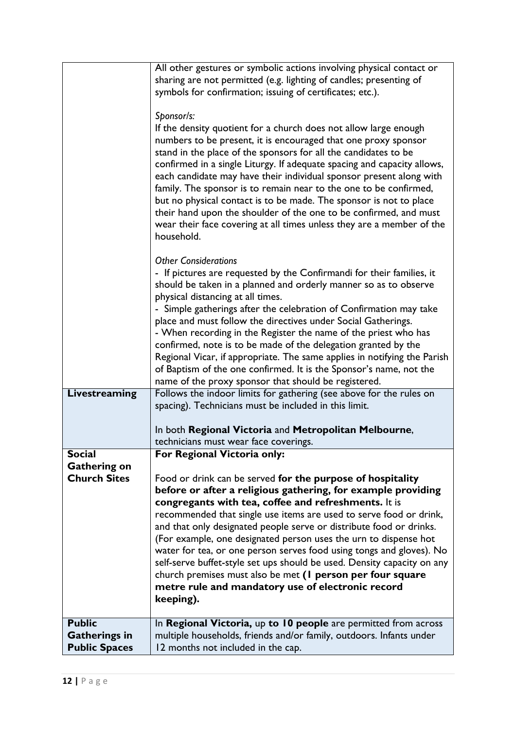|                                                               | All other gestures or symbolic actions involving physical contact or<br>sharing are not permitted (e.g. lighting of candles; presenting of<br>symbols for confirmation; issuing of certificates; etc.).<br>Sponsor/s:<br>If the density quotient for a church does not allow large enough<br>numbers to be present, it is encouraged that one proxy sponsor<br>stand in the place of the sponsors for all the candidates to be<br>confirmed in a single Liturgy. If adequate spacing and capacity allows,<br>each candidate may have their individual sponsor present along with<br>family. The sponsor is to remain near to the one to be confirmed,<br>but no physical contact is to be made. The sponsor is not to place<br>their hand upon the shoulder of the one to be confirmed, and must<br>wear their face covering at all times unless they are a member of the<br>household.<br><b>Other Considerations</b><br>- If pictures are requested by the Confirmandi for their families, it<br>should be taken in a planned and orderly manner so as to observe |
|---------------------------------------------------------------|---------------------------------------------------------------------------------------------------------------------------------------------------------------------------------------------------------------------------------------------------------------------------------------------------------------------------------------------------------------------------------------------------------------------------------------------------------------------------------------------------------------------------------------------------------------------------------------------------------------------------------------------------------------------------------------------------------------------------------------------------------------------------------------------------------------------------------------------------------------------------------------------------------------------------------------------------------------------------------------------------------------------------------------------------------------------|
|                                                               | physical distancing at all times.<br>- Simple gatherings after the celebration of Confirmation may take<br>place and must follow the directives under Social Gatherings.<br>- When recording in the Register the name of the priest who has<br>confirmed, note is to be made of the delegation granted by the<br>Regional Vicar, if appropriate. The same applies in notifying the Parish<br>of Baptism of the one confirmed. It is the Sponsor's name, not the<br>name of the proxy sponsor that should be registered.                                                                                                                                                                                                                                                                                                                                                                                                                                                                                                                                             |
| Livestreaming                                                 | Follows the indoor limits for gathering (see above for the rules on<br>spacing). Technicians must be included in this limit.<br>In both Regional Victoria and Metropolitan Melbourne,<br>technicians must wear face coverings.                                                                                                                                                                                                                                                                                                                                                                                                                                                                                                                                                                                                                                                                                                                                                                                                                                      |
| <b>Social</b>                                                 | For Regional Victoria only:                                                                                                                                                                                                                                                                                                                                                                                                                                                                                                                                                                                                                                                                                                                                                                                                                                                                                                                                                                                                                                         |
| <b>Gathering on</b><br><b>Church Sites</b>                    | Food or drink can be served for the purpose of hospitality<br>before or after a religious gathering, for example providing<br>congregants with tea, coffee and refreshments. It is<br>recommended that single use items are used to serve food or drink,<br>and that only designated people serve or distribute food or drinks.<br>(For example, one designated person uses the urn to dispense hot<br>water for tea, or one person serves food using tongs and gloves). No<br>self-serve buffet-style set ups should be used. Density capacity on any<br>church premises must also be met (I person per four square<br>metre rule and mandatory use of electronic record<br>keeping).                                                                                                                                                                                                                                                                                                                                                                              |
| <b>Public</b><br><b>Gatherings in</b><br><b>Public Spaces</b> | In Regional Victoria, up to 10 people are permitted from across<br>multiple households, friends and/or family, outdoors. Infants under<br>12 months not included in the cap.                                                                                                                                                                                                                                                                                                                                                                                                                                                                                                                                                                                                                                                                                                                                                                                                                                                                                        |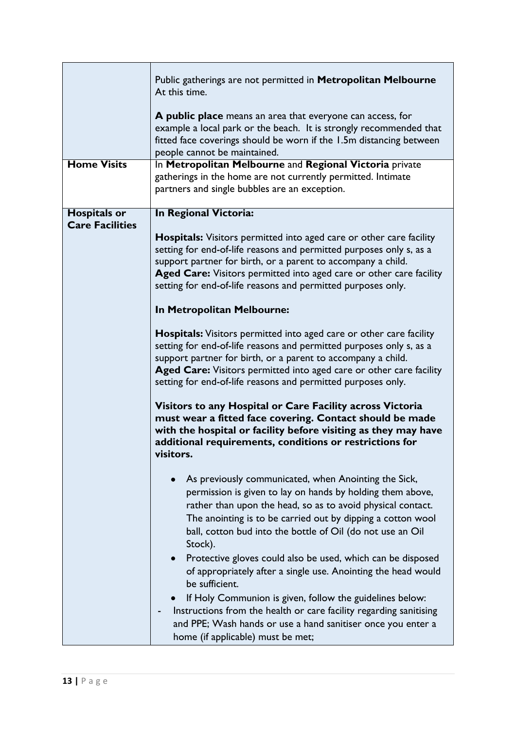| <b>Home Visits</b>                            | Public gatherings are not permitted in Metropolitan Melbourne<br>At this time.<br>A public place means an area that everyone can access, for<br>example a local park or the beach. It is strongly recommended that<br>fitted face coverings should be worn if the 1.5m distancing between<br>people cannot be maintained.<br>In Metropolitan Melbourne and Regional Victoria private<br>gatherings in the home are not currently permitted. Intimate<br>partners and single bubbles are an exception.                                                                                                                                                                                                                                                                                                                                                                                                                                                                                                                                          |
|-----------------------------------------------|------------------------------------------------------------------------------------------------------------------------------------------------------------------------------------------------------------------------------------------------------------------------------------------------------------------------------------------------------------------------------------------------------------------------------------------------------------------------------------------------------------------------------------------------------------------------------------------------------------------------------------------------------------------------------------------------------------------------------------------------------------------------------------------------------------------------------------------------------------------------------------------------------------------------------------------------------------------------------------------------------------------------------------------------|
| <b>Hospitals or</b><br><b>Care Facilities</b> | In Regional Victoria:<br><b>Hospitals:</b> Visitors permitted into aged care or other care facility<br>setting for end-of-life reasons and permitted purposes only s, as a<br>support partner for birth, or a parent to accompany a child.<br>Aged Care: Visitors permitted into aged care or other care facility<br>setting for end-of-life reasons and permitted purposes only.<br>In Metropolitan Melbourne:<br><b>Hospitals:</b> Visitors permitted into aged care or other care facility<br>setting for end-of-life reasons and permitted purposes only s, as a<br>support partner for birth, or a parent to accompany a child.<br>Aged Care: Visitors permitted into aged care or other care facility<br>setting for end-of-life reasons and permitted purposes only.<br>Visitors to any Hospital or Care Facility across Victoria<br>must wear a fitted face covering. Contact should be made<br>with the hospital or facility before visiting as they may have<br>additional requirements, conditions or restrictions for<br>visitors. |
|                                               | As previously communicated, when Anointing the Sick,<br>permission is given to lay on hands by holding them above,<br>rather than upon the head, so as to avoid physical contact.<br>The anointing is to be carried out by dipping a cotton wool<br>ball, cotton bud into the bottle of Oil (do not use an Oil<br>Stock).<br>Protective gloves could also be used, which can be disposed<br>of appropriately after a single use. Anointing the head would<br>be sufficient.<br>If Holy Communion is given, follow the guidelines below:<br>Instructions from the health or care facility regarding sanitising<br>and PPE; Wash hands or use a hand sanitiser once you enter a<br>home (if applicable) must be met;                                                                                                                                                                                                                                                                                                                             |